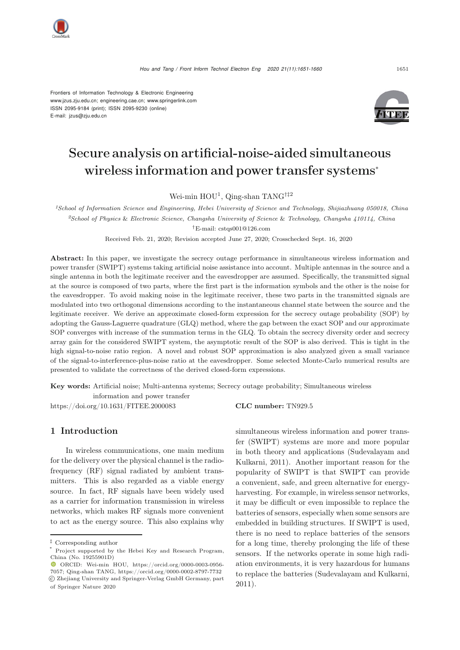Frontiers of Information Technology & Electronic Engineering [www.jzus.zju.edu.cn;](www.jzus.zju.edu.cn) [engineering.cae.cn;](engineering.cae.cn)<www.springerlink.com> ISSN 2095-9184 (print); ISSN 2095-9230 (online) E-mail: jzus@zju.edu.cn



# Secure analysis on artificial-noise-aided simultaneous wireless information and power transfer systems<sup>∗</sup>

Wei-min HOU<sup>1</sup>, Qing-shan TANG<sup>†‡2</sup>

*<sup>1</sup>School of Information Science and Engineering, Hebei University of Science and Technology, Shijiazhuang 050018, China <sup>2</sup>School of Physics* & *Electronic Science, Changsha University of Science* & *Technology, Changsha 410114, China †*E-mail: cstqs001@126.com

Received Feb. 21, 2020; Revision accepted June 27, 2020; Crosschecked Sept. 16, 2020

Abstract: In this paper, we investigate the secrecy outage performance in simultaneous wireless information and power transfer (SWIPT) systems taking artificial noise assistance into account. Multiple antennas in the source and a single antenna in both the legitimate receiver and the eavesdropper are assumed. Specifically, the transmitted signal at the source is composed of two parts, where the first part is the information symbols and the other is the noise for the eavesdropper. To avoid making noise in the legitimate receiver, these two parts in the transmitted signals are modulated into two orthogonal dimensions according to the instantaneous channel state between the source and the legitimate receiver. We derive an approximate closed-form expression for the secrecy outage probability (SOP) by adopting the Gauss-Laguerre quadrature (GLQ) method, where the gap between the exact SOP and our approximate SOP converges with increase of the summation terms in the GLQ. To obtain the secrecy diversity order and secrecy array gain for the considered SWIPT system, the asymptotic result of the SOP is also derived. This is tight in the high signal-to-noise ratio region. A novel and robust SOP approximation is also analyzed given a small variance of the signal-to-interference-plus-noise ratio at the eavesdropper. Some selected Monte-Carlo numerical results are presented to validate the correctness of the derived closed-form expressions.

Key words: Artificial noise; Multi-antenna systems; Secrecy outage probability; Simultaneous wireless

information and power transfer

https://doi.org/10.1631/FITEE.2000083 **CLC number:** TN929.5

## 1 Introduction

In wireless communications, one main medium for the delivery over the physical channel is the radiofrequency (RF) signal radiated by ambient transmitters. This is also regarded as a viable energy source. In fact, RF signals have been widely used as a carrier for information transmission in wireless networks, which makes RF signals more convenient to act as the energy source. This also explains why

simultaneous wireless information and power transfer (SWIPT) systems are more and more popular in both theory and applications (Sudevalayam and Kulkarni, 2011). Another important reason for the popularity of SWIPT is that SWIPT can provide a convenient, safe, and green alternative for energyharvesting. For example, in wireless sensor networks, it may be difficult or even impossible to replace the batteries of sensors, especially when some sensors are embedded in building structures. If SWIPT is used, there is no need to replace batteries of the sensors for a long time, thereby prolonging the life of these sensors. If the networks operate in some high radiation environments, it is very hazardous for humans to replace the batteries (Sudevalayam and Kulkarni, 2011).

*<sup>‡</sup>* Corresponding author

Project supported by the Hebei Key and Research Program, China (No. 19255901D)

ORCID: Wei-min HOU, https://orcid.org/0000-0003-0956- 7057; Qing-shan TANG, https://orcid.org/0000-0002-8797-7732 c Zhejiang University and Springer-Verlag GmbH Germany, part of Springer Nature 2020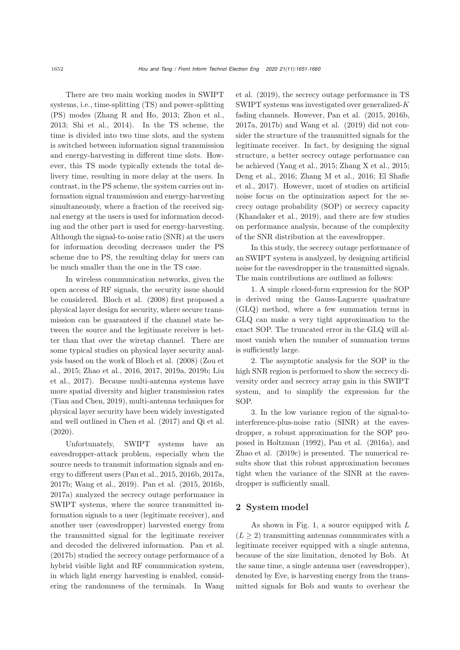There are two main working modes in SWIPT systems, i.e., time-splitting (TS) and power-splitting (PS) modes (Zhang R and Ho, 2013; Zhou et al., 2013; Shi et al., 2014). In the TS scheme, the time is divided into two time slots, and the system is switched between information signal transmission and energy-harvesting in different time slots. However, this TS mode typically extends the total delivery time, resulting in more delay at the users. In contrast, in the PS scheme, the system carries out information signal transmission and energy-harvesting simultaneously, where a fraction of the received signal energy at the users is used for information decoding and the other part is used for energy-harvesting. Although the signal-to-noise ratio (SNR) at the users for information decoding decreases under the PS scheme due to PS, the resulting delay for users can be much smaller than the one in the TS case.

In wireless communication networks, given the open access of RF signals, the security issue should be considered. Bloch et al. (2008) first proposed a physical layer design for security, where secure transmission can be guaranteed if the channel state between the source and the legitimate receiver is better than that over the wiretap channel. There are some typical studies on physical layer security analysis based on the work of Bloch et al. (2008) (Zou et al., 2015; Zhao et al., 2016, 2017, 2019a, 2019b; Liu et al., 2017). Because multi-antenna systems have more spatial diversity and higher transmission rates (Tian and Chen, 2019), multi-antenna techniques for physical layer security have been widely investigated and well outlined in Chen et al. (2017) and Qi et al. (2020).

Unfortunately, SWIPT systems have an eavesdropper-attack problem, especially when the source needs to transmit information signals and energy to different users (Pan et al., 2015, 2016b, 2017a, 2017b; Wang et al., 2019). Pan et al. (2015, 2016b, 2017a) analyzed the secrecy outage performance in SWIPT systems, where the source transmitted information signals to a user (legitimate receiver), and another user (eavesdropper) harvested energy from the transmitted signal for the legitimate receiver and decoded the delivered information. Pan et al. (2017b) studied the secrecy outage performance of a hybrid visible light and RF communication system, in which light energy harvesting is enabled, considering the randomness of the terminals. In Wang et al. (2019), the secrecy outage performance in TS SWIPT systems was investigated over generalized-K fading channels. However, Pan et al. (2015, 2016b, 2017a, 2017b) and Wang et al. (2019) did not consider the structure of the transmitted signals for the legitimate receiver. In fact, by designing the signal structure, a better secrecy outage performance can be achieved (Yang et al., 2015; Zhang X et al., 2015; Deng et al., 2016; Zhang M et al., 2016; El Shafie et al., 2017). However, most of studies on artificial noise focus on the optimization aspect for the secrecy outage probability (SOP) or secrecy capacity (Khandaker et al., 2019), and there are few studies on performance analysis, because of the complexity of the SNR distribution at the eavesdropper.

In this study, the secrecy outage performance of an SWIPT system is analyzed, by designing artificial noise for the eavesdropper in the transmitted signals. The main contributions are outlined as follows:

1. A simple closed-form expression for the SOP is derived using the Gauss-Laguerre quadrature (GLQ) method, where a few summation terms in GLQ can make a very tight approximation to the exact SOP. The truncated error in the GLQ will almost vanish when the number of summation terms is sufficiently large.

2. The asymptotic analysis for the SOP in the high SNR region is performed to show the secrecy diversity order and secrecy array gain in this SWIPT system, and to simplify the expression for the SOP.

3. In the low variance region of the signal-tointerference-plus-noise ratio (SINR) at the eavesdropper, a robust approximation for the SOP proposed in Holtzman (1992), Pan et al. (2016a), and Zhao et al. (2019c) is presented. The numerical results show that this robust approximation becomes tight when the variance of the SINR at the eavesdropper is sufficiently small.

## 2 System model

As shown in Fig. [1,](#page-2-0) a source equipped with L  $(L \geq 2)$  transmitting antennas communicates with a legitimate receiver equipped with a single antenna, because of the size limitation, denoted by Bob. At the same time, a single antenna user (eavesdropper), denoted by Eve, is harvesting energy from the transmitted signals for Bob and wants to overhear the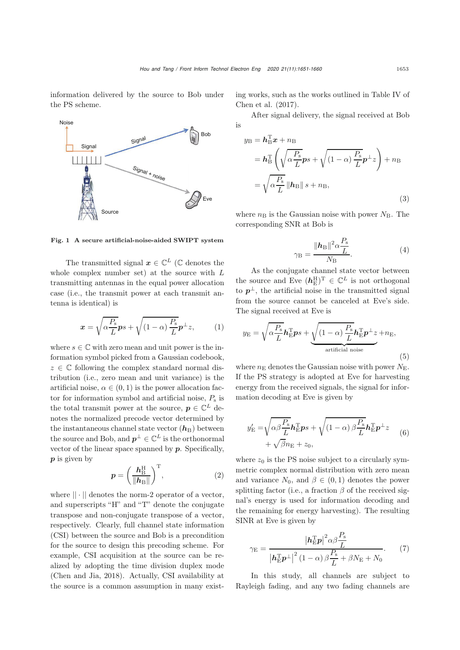information delivered by the source to Bob under the PS scheme.



<span id="page-2-0"></span>Fig. 1 A secure artificial-noise-aided SWIPT system

The transmitted signal  $x \in \mathbb{C}^L$  ( $\mathbb C$  denotes the whole complex number set) at the source with L transmitting antennas in the equal power allocation case (i.e., the transmit power at each transmit antenna is identical) is

$$
\boldsymbol{x} = \sqrt{\alpha \frac{P_{\rm s}}{L}} \boldsymbol{p} s + \sqrt{(1 - \alpha) \frac{P_{\rm s}}{L}} \boldsymbol{p}^{\perp} z, \qquad (1)
$$

where  $s \in \mathbb{C}$  with zero mean and unit power is the information symbol picked from a Gaussian codebook,  $z \in \mathbb{C}$  following the complex standard normal distribution (i.e., zero mean and unit variance) is the artificial noise,  $\alpha \in (0,1)$  is the power allocation factor for information symbol and artificial noise,  $P_s$  is the total transmit power at the source,  $p \in \mathbb{C}^L$  denotes the normalized precode vector determined by the instantaneous channel state vector  $(h_B)$  between the source and Bob, and  $p^{\perp} \in \mathbb{C}^{L}$  is the orthonormal vector of the linear space spanned by *p*. Specifically, *p* is given by

$$
p = \left(\frac{h_{\rm B}^{\rm H}}{\|h_{\rm B}\|}\right)^{\rm T},\tag{2}
$$

where  $|| \cdot ||$  denotes the norm-2 operator of a vector, and superscripts "H" and "T" denote the conjugate transpose and non-conjugate transpose of a vector, respectively. Clearly, full channel state information (CSI) between the source and Bob is a precondition for the source to design this precoding scheme. For example, CSI acquisition at the source can be realized by adopting the time division duplex mode (Chen and Jia, 2018). Actually, CSI availability at the source is a common assumption in many existing works, such as the works outlined in Table IV of Chen et al. (2017).

After signal delivery, the signal received at Bob is

$$
y_{\rm B} = h_{\rm B}^{\rm T} x + n_{\rm B}
$$
  
=  $h_{\rm B}^{\rm T} \left( \sqrt{\alpha \frac{P_{\rm s}}{L}} p s + \sqrt{(1 - \alpha) \frac{P_{\rm s}}{L}} p^{\perp} z \right) + n_{\rm B}$   
=  $\sqrt{\alpha \frac{P_{\rm s}}{L}} ||h_{\rm B}|| s + n_{\rm B},$  (3)

where  $n_B$  is the Gaussian noise with power  $N_B$ . The corresponding SNR at Bob is

$$
\gamma_{\rm B} = \frac{\|\mathbf{h}_{\rm B}\|^2 \alpha \frac{P_{\rm s}}{L}}{N_{\rm B}}.\tag{4}
$$

As the conjugate channel state vector between the source and Eve  $(h_{\text{E}}^{\text{H}})^{\text{T}} \in \mathbb{C}^{L}$  is not orthogonal to  $p^{\perp}$ , the artificial noise in the transmitted signal from the source cannot be canceled at Eve's side. The signal received at Eve is

$$
y_{\rm E} = \sqrt{\alpha \frac{P_{\rm s}}{L}} \boldsymbol{h}_{\rm E}^{\rm T} \boldsymbol{p} s + \underbrace{\sqrt{(1-\alpha) \frac{P_{\rm s}}{L}} \boldsymbol{h}_{\rm E}^{\rm T} \boldsymbol{p}^{\perp} z}_{\text{artificial noise}} + n_{\rm E},
$$
\n(5)

where  $n<sub>E</sub>$  denotes the Gaussian noise with power  $N<sub>E</sub>$ . If the PS strategy is adopted at Eve for harvesting energy from the received signals, the signal for information decoding at Eve is given by

$$
y'_{\rm E} = \sqrt{\alpha \beta \frac{P_{\rm s}}{L}} \mathbf{h}_{\rm E}^{\rm T} \mathbf{p} s + \sqrt{(1 - \alpha) \beta \frac{P_{\rm s}}{L}} \mathbf{h}_{\rm E}^{\rm T} \mathbf{p}^{\perp} z + \sqrt{\beta} n_{\rm E} + z_0,
$$
 (6)

where  $z_0$  is the PS noise subject to a circularly symmetric complex normal distribution with zero mean and variance  $N_0$ , and  $\beta \in (0,1)$  denotes the power splitting factor (i.e., a fraction  $\beta$  of the received signal's energy is used for information decoding and the remaining for energy harvesting). The resulting SINR at Eve is given by

$$
\gamma_{\rm E} = \frac{|h_{\rm E}^{\rm T} \mathbf{p}|^2 \alpha \beta \frac{P_{\rm s}}{L}}{|h_{\rm E}^{\rm T} \mathbf{p}^{\perp}|^2 (1 - \alpha) \beta \frac{P_{\rm s}}{L} + \beta N_{\rm E} + N_0}.
$$
 (7)

In this study, all channels are subject to Rayleigh fading, and any two fading channels are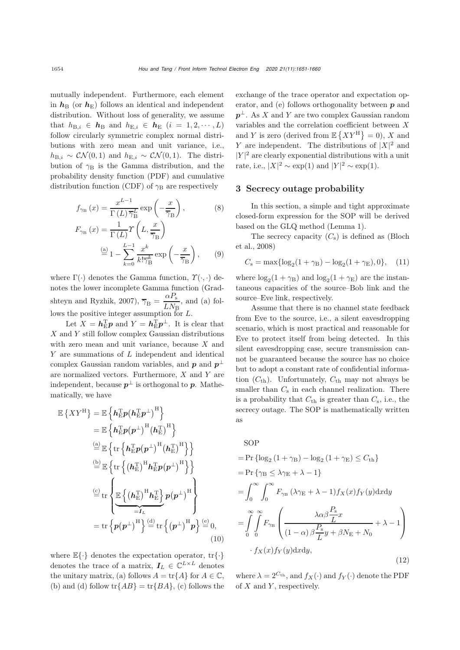mutually independent. Furthermore, each element in  $h_B$  (or  $h_E$ ) follows an identical and independent distribution. Without loss of generality, we assume that  $h_{\text{B},i} \in h_{\text{B}}$  and  $h_{\text{E},i} \in h_{\text{E}}$   $(i = 1, 2, \dots, L)$ follow circularly symmetric complex normal distributions with zero mean and unit variance, i.e.,  $h_{\text{B},i} \sim \mathcal{CN}(0,1)$  and  $h_{\text{E},i} \sim \mathcal{CN}(0,1)$ . The distribution of  $\gamma_B$  is the Gamma distribution, and the probability density function (PDF) and cumulative distribution function (CDF) of  $\gamma_B$  are respectively

$$
f_{\gamma_{\rm B}}(x) = \frac{x^{L-1}}{\Gamma(L)\overline{\gamma}_{\rm B}^L} \exp\left(-\frac{x}{\overline{\gamma}_{\rm B}}\right),\tag{8}
$$

$$
F_{\gamma_{\rm B}}(x) = \frac{1}{\Gamma(L)} \Upsilon\left(L, \frac{x}{\overline{\gamma}_{\rm B}}\right)
$$

$$
\stackrel{\text{(a)}}{=} 1 - \sum_{k=0}^{L-1} \frac{x^k}{k! \overline{\gamma}_{\rm B}^k} \exp\left(-\frac{x}{\overline{\gamma}_{\rm B}}\right),\tag{9}
$$

where  $\Gamma(\cdot)$  denotes the Gamma function,  $\Upsilon(\cdot, \cdot)$  denotes the lower incomplete Gamma function (Gradshteyn and Ryzhik, 2007),  $\overline{\gamma}_{\text{B}} = \frac{\alpha P_{\text{s}}}{LN_{\text{B}}}$ , and (a) follows the positive integer assumption for L.

Let  $X = h_{\rm E}^{\rm T} p$  and  $Y = h_{\rm E}^{\rm T} p^{\perp}$ . It is clear that  $X$  and  $Y$  still follow complex Gaussian distributions with zero mean and unit variance, because X and Y are summations of L independent and identical complex Gaussian random variables, and  $p$  and  $p^{\perp}$ are normalized vectors. Furthermore,  $X$  and  $Y$  are independent, because  $p^{\perp}$  is orthogonal to *p*. Mathematically, we have

$$
\mathbb{E}\left\{XY^{\mathrm{H}}\right\} = \mathbb{E}\left\{\mathbf{h}_{\mathrm{E}}^{\mathrm{T}}\mathbf{p}(\mathbf{h}_{\mathrm{E}}^{\mathrm{T}}\mathbf{p}^{\perp})^{\mathrm{H}}\right\} \n= \mathbb{E}\left\{\mathbf{h}_{\mathrm{E}}^{\mathrm{T}}\mathbf{p}(\mathbf{p}^{\perp})^{\mathrm{H}}(\mathbf{h}_{\mathrm{E}}^{\mathrm{T}})^{\mathrm{H}}\right\} \n\stackrel{\text{(a)}}{=} \mathbb{E}\left\{\text{tr}\left\{\mathbf{h}_{\mathrm{E}}^{\mathrm{T}}\mathbf{p}(\mathbf{p}^{\perp})^{\mathrm{H}}(\mathbf{h}_{\mathrm{E}}^{\mathrm{T}})^{\mathrm{H}}\right\}\right\} \n\stackrel{\text{(b)}}{=} \mathbb{E}\left\{\text{tr}\left\{\mathbf{h}_{\mathrm{E}}^{\mathrm{T}}\mathbf{p}(\mathbf{p}^{\perp})^{\mathrm{H}}\mathbf{h}_{\mathrm{E}}^{\mathrm{T}}\mathbf{p}(\mathbf{p}^{\perp})^{\mathrm{H}}\right\}\right\} \n\stackrel{\text{(c)}}{=} \text{tr}\left\{\mathbb{E}\left\{\left(\mathbf{h}_{\mathrm{E}}^{\mathrm{T}}\right)^{\mathrm{H}}\mathbf{h}_{\mathrm{E}}^{\mathrm{T}}\right\}\mathbf{p}(\mathbf{p}^{\perp})^{\mathrm{H}}\right\} \n= \text{tr}\left\{\mathbf{p}(\mathbf{p}^{\perp})^{\mathrm{H}}\right\}\stackrel{\text{(d)}}{=} \text{tr}\left\{\left(\mathbf{p}^{\perp}\right)^{\mathrm{H}}\mathbf{p}\right\}\stackrel{\text{(e)}}{=} 0, \tag{10}
$$

where  $\mathbb{E}\{\cdot\}$  denotes the expectation operator,  $\mathrm{tr}\{\cdot\}$ denotes the trace of a matrix,  $I_L \in \mathbb{C}^{L \times L}$  denotes the unitary matrix, (a) follows  $A = \text{tr}{A}$  for  $A \in \mathbb{C}$ , (b) and (d) follow  $\text{tr}{AB}$  =  $\text{tr}{BA}$ , (c) follows the exchange of the trace operator and expectation operator, and (e) follows orthogonality between *p* and  $p^{\perp}$ . As X and Y are two complex Gaussian random variables and the correlation coefficient between X and Y is zero (derived from  $\mathbb{E}\left\{ XY^{\mathrm{H}}\right\} =0$ ), X and Y are independent. The distributions of  $|X|^2$  and  $|Y|^2$  are clearly exponential distributions with a unit rate, i.e.,  $|X|^2 \sim \exp(1)$  and  $|Y|^2 \sim \exp(1)$ .

#### 3 Secrecy outage probability

In this section, a simple and tight approximate closed-form expression for the SOP will be derived based on the GLQ method (Lemma [1\)](#page-4-0).

The secrecy capacity  $(C_s)$  is defined as (Bloch et al., 2008)

$$
C_{\rm s} = \max\{\log_2(1+\gamma_{\rm B}) - \log_2(1+\gamma_{\rm E}),0\},\quad (11)
$$

where  $\log_2(1 + \gamma_B)$  and  $\log_2(1 + \gamma_E)$  are the instantaneous capacities of the source–Bob link and the source–Eve link, respectively.

Assume that there is no channel state feedback from Eve to the source, i.e., a silent eavesdropping scenario, which is most practical and reasonable for Eve to protect itself from being detected. In this silent eavesdropping case, secure transmission cannot be guaranteed because the source has no choice but to adopt a constant rate of confidential information  $(C_{\text{th}})$ . Unfortunately,  $C_{\text{th}}$  may not always be smaller than  $C_s$  in each channel realization. There is a probability that  $C_{\text{th}}$  is greater than  $C_{\text{s}}$ , i.e., the secrecy outage. The SOP is mathematically written as

<span id="page-3-0"></span>
$$
SOP
$$
  
= Pr {log<sub>2</sub> (1 +  $\gamma_B$ ) - log<sub>2</sub> (1 +  $\gamma_E$ )  $\leq C_{th}$ }  
= Pr { $\gamma_B \leq \lambda \gamma_E + \lambda - 1$ }  
=  $\int_0^\infty \int_0^\infty F_{\gamma_B} (\lambda \gamma_E + \lambda - 1) f_X(x) f_Y(y) dxdy$   
=  $\int_0^\infty \int_0^\infty F_{\gamma_B} \left( \frac{\lambda \alpha \beta \frac{P_s}{L} x}{(1 - \alpha) \beta \frac{P_s}{L} y + \beta N_E + N_0} + \lambda - 1 \right)$   
 $\cdot f_X(x) f_Y(y) dxdy,$  (12)

where  $\lambda = 2^{C_{\text{th}}}$ , and  $f_X(\cdot)$  and  $f_Y(\cdot)$  denote the PDF of  $X$  and  $Y$ , respectively.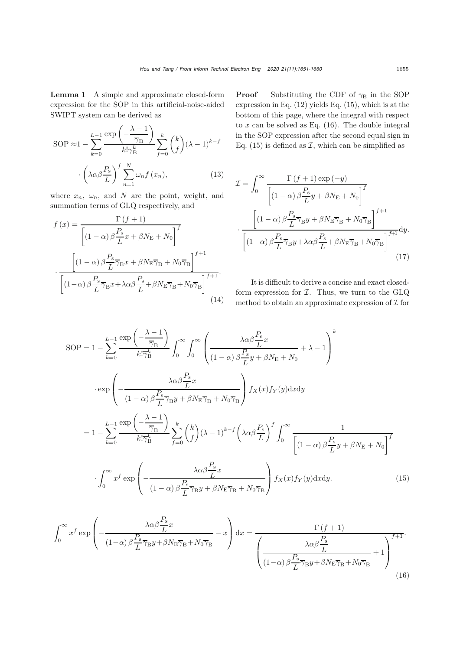<span id="page-4-0"></span>Lemma 1 A simple and approximate closed-form expression for the SOP in this artificial-noise-aided SWIPT system can be derived as

$$
\text{SOP} \approx 1 - \sum_{k=0}^{L-1} \frac{\exp\left(-\frac{\lambda - 1}{\overline{\gamma}_{\text{B}}}\right)}{k! \overline{\gamma}_{\text{B}}^k} \sum_{f=0}^k {k \choose f} (\lambda - 1)^{k-f}
$$

$$
\cdot \left(\lambda \alpha \beta \frac{P_{\text{s}}}{L}\right)^f \sum_{n=1}^N \omega_n f(x_n), \tag{13}
$$

where  $x_n$ ,  $\omega_n$ , and N are the point, weight, and summation terms of GLQ respectively, and

$$
f(x) = \frac{\Gamma(f+1)}{\left[ (1-\alpha)\beta \frac{P_{\rm s}}{L} x + \beta N_{\rm E} + N_0 \right]^f}
$$

$$
\cdot \frac{\left[ (1-\alpha)\beta \frac{P_{\rm s}}{L} \overline{\gamma}_{\rm B} x + \beta N_{\rm E} \overline{\gamma}_{\rm B} + N_0 \overline{\gamma}_{\rm B} \right]^{f+1}}{\left[ (1-\alpha)\beta \frac{P_{\rm s}}{L} \overline{\gamma}_{\rm B} x + \lambda \alpha \beta \frac{P_{\rm s}}{L} + \beta N_{\rm E} \overline{\gamma}_{\rm B} + N_0 \overline{\gamma}_{\rm B} \right]^{f+1}}.
$$
(14)

**Proof** Substituting the CDF of  $\gamma_B$  in the SOP expression in Eq.  $(12)$  yields Eq.  $(15)$ , which is at the bottom of this page, where the integral with respect to  $x$  can be solved as Eq.  $(16)$ . The double integral in the SOP expression after the second equal sign in Eq. [\(15\)](#page-4-1) is defined as  $\mathcal{I}$ , which can be simplified as

<span id="page-4-3"></span>
$$
\mathcal{I} = \int_0^\infty \frac{\Gamma(f+1) \exp(-y)}{\left[ (1-\alpha) \beta \frac{P_\mathrm{s}}{L} y + \beta N_\mathrm{E} + N_0 \right]^f}
$$

$$
\cdot \frac{\left[ (1-\alpha) \beta \frac{P_\mathrm{s}}{L} \overline{\gamma}_\mathrm{B} y + \beta N_\mathrm{E} \overline{\gamma}_\mathrm{B} + N_0 \overline{\gamma}_\mathrm{B} \right]^{f+1}}{\left[ (1-\alpha) \beta \frac{P_\mathrm{s}}{L} \overline{\gamma}_\mathrm{B} y + \lambda \alpha \beta \frac{P_\mathrm{s}}{L} + \beta N_\mathrm{E} \overline{\gamma}_\mathrm{B} + N_0 \overline{\gamma}_\mathrm{B} \right]^{f+1}} dy. \tag{17}
$$

<span id="page-4-2"></span><span id="page-4-1"></span>It is difficult to derive a concise and exact closedform expression for  $I$ . Thus, we turn to the GLQ method to obtain an approximate expression of  $\mathcal I$  for

$$
SOP = 1 - \sum_{k=0}^{L-1} \frac{\exp\left(-\frac{\lambda - 1}{\overline{\gamma}_{B}}\right)}{k!\overline{\gamma}_{B}^{k}} \int_{0}^{\infty} \int_{0}^{\infty} \left(\frac{\lambda \alpha \beta \frac{P_{s}}{L} x}{(1 - \alpha) \beta \frac{P_{s}}{L} y + \beta N_{E} + N_{0}} + \lambda - 1\right)^{k}
$$

$$
\cdot \exp\left(-\frac{\lambda \alpha \beta \frac{P_{s}}{L} x}{(1 - \alpha) \beta \frac{P_{s}}{L} \overline{\gamma}_{B} y + \beta N_{E} \overline{\gamma}_{B} + N_{0} \overline{\gamma}_{B}}\right) f_{X}(x) f_{Y}(y) \, dx \, dy
$$

$$
= 1 - \sum_{k=0}^{L-1} \frac{\exp\left(-\frac{\lambda - 1}{\overline{\gamma}_{B}}\right)}{k! \overline{\gamma}_{B}^{k}} \sum_{f=0}^{k} {k \choose f} (\lambda - 1)^{k-f} \left(\lambda \alpha \beta \frac{P_{s}}{L}\right)^{f} \int_{0}^{\infty} \frac{1}{\left[(1 - \alpha) \beta \frac{P_{s}}{L} y + \beta N_{E} + N_{0}\right]^{f}}
$$

$$
\cdot \int_{0}^{\infty} x^{f} \exp\left(-\frac{\lambda \alpha \beta \frac{P_{s}}{L} x}{(1 - \alpha) \beta \frac{P_{s}}{L} \overline{\gamma}_{B} y + \beta N_{E} \overline{\gamma}_{B} + N_{0} \overline{\gamma}_{B}}\right) f_{X}(x) f_{Y}(y) \, dx \, dy. \tag{15}
$$

$$
\int_0^\infty x^f \exp\left(-\frac{\lambda \alpha \beta \frac{P_s}{L} x}{(1-\alpha)\beta \frac{P_s}{L} \overline{\gamma}_B y + \beta N_E \overline{\gamma}_B + N_0 \overline{\gamma}_B} - x\right) dx = \frac{\Gamma(f+1)}{\left(\frac{\lambda \alpha \beta \frac{P_s}{L}}{(1-\alpha)\beta \frac{P_s}{L} \overline{\gamma}_B y + \beta N_E \overline{\gamma}_B + N_0 \overline{\gamma}_B} + 1\right)^{f+1}}.
$$
\n(16)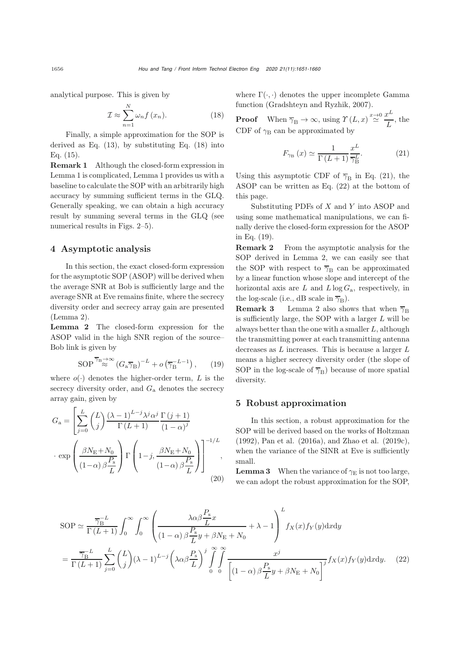analytical purpose. This is given by

$$
\mathcal{I} \approx \sum_{n=1}^{N} \omega_n f(x_n). \tag{18}
$$

Finally, a simple approximation for the SOP is derived as Eq.  $(13)$ , by substituting Eq.  $(18)$  into Eq. [\(15\)](#page-4-1).

Remark 1 Although the closed-form expression in Lemma [1](#page-4-0) is complicated, Lemma [1](#page-4-0) provides us with a baseline to calculate the SOP with an arbitrarily high accuracy by summing sufficient terms in the GLQ. Generally speaking, we can obtain a high accuracy result by summing several terms in the GLQ (see numerical results in Figs. [2](#page-7-0)[–5\)](#page-7-1).

#### 4 Asymptotic analysis

In this section, the exact closed-form expression for the asymptotic SOP (ASOP) will be derived when the average SNR at Bob is sufficiently large and the average SNR at Eve remains finite, where the secrecy diversity order and secrecy array gain are presented (Lemma [2\)](#page-5-1).

<span id="page-5-1"></span>Lemma 2 The closed-form expression for the ASOP valid in the high SNR region of the source– Bob link is given by

$$
\text{SOP}^{\overline{\gamma}_{\text{B}} \to \infty} (G_{\text{a}} \overline{\gamma}_{\text{B}})^{-L} + o\left(\overline{\gamma}_{\text{B}}^{-L-1}\right), \qquad (19)
$$

where  $o(\cdot)$  denotes the higher-order term, L is the secrecy diversity order, and  $G_a$  denotes the secrecy array gain, given by

$$
G_{\rm a} = \left[ \sum_{j=0}^{L} {L \choose j} \frac{(\lambda - 1)^{L-j} \lambda^j \alpha^j}{\Gamma(L+1)} \frac{\Gamma(j+1)}{(1 - \alpha)^j} \right]
$$

$$
\cdot \exp\left(\frac{\beta N_{\rm E} + N_0}{(1 - \alpha)\beta \frac{P_{\rm s}}{L}}\right) \Gamma\left(1 - j, \frac{\beta N_{\rm E} + N_0}{(1 - \alpha)\beta \frac{P_{\rm s}}{L}}\right)\right]^{-1/L}, \tag{20}
$$

where  $\Gamma(\cdot, \cdot)$  denotes the upper incomplete Gamma function (Gradshteyn and Ryzhik, 2007).

<span id="page-5-0"></span>**Proof** When  $\overline{\gamma}_{\text{B}} \to \infty$ , using  $\gamma(L, x) \stackrel{x \to 0}{\simeq} \frac{x^L}{L}$ , the CDF of  $\gamma_B$  can be approximated by

$$
F_{\gamma_{\rm B}}\left(x\right) \simeq \frac{1}{\Gamma\left(L+1\right)} \frac{x^L}{\overline{\gamma}_{\rm B}^L}.\tag{21}
$$

Using this asymptotic CDF of  $\overline{\gamma}_{\text{B}}$  in Eq. (21), the ASOP can be written as Eq. [\(22\)](#page-5-2) at the bottom of this page.

Substituting PDFs of  $X$  and  $Y$  into ASOP and using some mathematical manipulations, we can finally derive the closed-form expression for the ASOP in Eq. [\(19\)](#page-5-3).

Remark 2 From the asymptotic analysis for the SOP derived in Lemma [2,](#page-5-1) we can easily see that the SOP with respect to  $\overline{\gamma}_{\text{B}}$  can be approximated by a linear function whose slope and intercept of the horizontal axis are  $L$  and  $L \log G_a$ , respectively, in the log-scale (i.e., dB scale in  $\overline{\gamma}_{\text{B}}$ ).

**Remark 3** Lemma [2](#page-5-1) also shows that when  $\overline{\gamma}_{\text{B}}$ is sufficiently large, the SOP with a larger  $L$  will be always better than the one with a smaller  $L$ , although the transmitting power at each transmitting antenna decreases as  $L$  increases. This is because a larger  $L$ means a higher secrecy diversity order (the slope of SOP in the log-scale of  $\overline{\gamma}_{\text{B}}$ ) because of more spatial diversity.

#### <span id="page-5-3"></span>5 Robust approximation

In this section, a robust approximation for the SOP will be derived based on the works of Holtzman (1992), Pan et al. (2016a), and Zhao et al. (2019c), when the variance of the SINR at Eve is sufficiently small.

<span id="page-5-4"></span><span id="page-5-2"></span>**Lemma 3** When the variance of  $\gamma_E$  is not too large, we can adopt the robust approximation for the SOP,

$$
SOP \simeq \frac{\overline{\gamma_{B}}^{L}}{\Gamma(L+1)} \int_{0}^{\infty} \int_{0}^{\infty} \left( \frac{\lambda \alpha \beta \frac{P_{s}}{L} x}{(1-\alpha) \beta \frac{P_{s}}{L} y + \beta N_{E} + N_{0}} + \lambda - 1 \right)^{L} f_{X}(x) f_{Y}(y) \, dx \, dy
$$
\n
$$
= \frac{\overline{\gamma_{B}}^{L}}{\Gamma(L+1)} \sum_{j=0}^{L} {L \choose j} (\lambda - 1)^{L-j} \left( \lambda \alpha \beta \frac{P_{s}}{L} \right)^{j} \int_{0}^{\infty} \int_{0}^{\infty} \frac{x^{j}}{\left[ (1-\alpha) \beta \frac{P_{s}}{L} y + \beta N_{E} + N_{0} \right]^{j}} f_{X}(x) f_{Y}(y) \, dx \, dy. \tag{22}
$$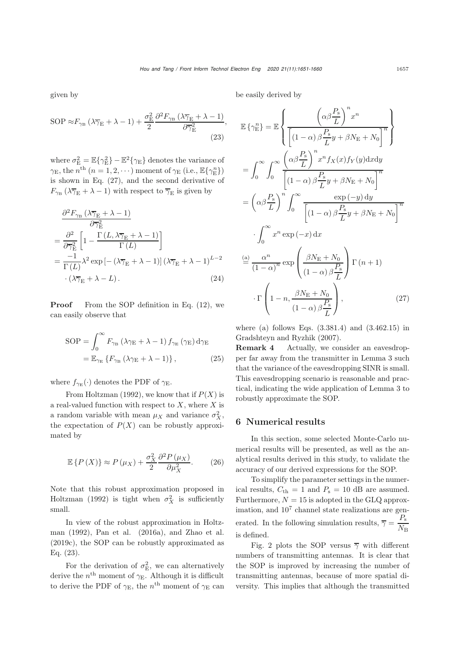<span id="page-6-1"></span>,

given by

$$
SOP \approx F_{\gamma_{\rm B}} \left(\lambda \overline{\gamma}_{\rm E} + \lambda - 1\right) + \frac{\sigma_{\rm E}^2}{2} \frac{\partial^2 F_{\gamma_{\rm B}} \left(\lambda \overline{\gamma}_{\rm E} + \lambda - 1\right)}{\partial \overline{\gamma}_{\rm E}^2}
$$
\n(23)

where  $\sigma_{\rm E}^2 = \mathbb{E}\{\gamma_{\rm E}^2\} - \mathbb{E}^2\{\gamma_{\rm E}\}\$  denotes the variance of  $\gamma_{\rm E}$ , the  $n^{\rm th}$   $(n = 1, 2, \cdots)$  moment of  $\gamma_{\rm E}$  (i.e.,  $\mathbb{E}\{\gamma_{\rm E}^{n}\}\$ ) is shown in Eq. [\(27\)](#page-6-0), and the second derivative of  $F_{\gamma_B} (\lambda \overline{\gamma}_E + \lambda - 1)$  with respect to  $\overline{\gamma}_E$  is given by

$$
\frac{\partial^2 F_{\gamma_{\rm B}} \left( \lambda \overline{\gamma}_{\rm E} + \lambda - 1 \right)}{\partial \overline{\gamma}_{\rm E}^2}
$$
\n
$$
= \frac{\partial^2}{\partial \overline{\gamma}_{\rm E}^2} \left[ 1 - \frac{\Gamma \left( L, \lambda \overline{\gamma}_{\rm E} + \lambda - 1 \right)}{\Gamma \left( L \right)} \right]
$$
\n
$$
= \frac{-1}{\Gamma \left( L \right)} \lambda^2 \exp \left[ - \left( \lambda \overline{\gamma}_{\rm E} + \lambda - 1 \right) \left( \lambda \overline{\gamma}_{\rm E} + \lambda - 1 \right)^{L-2}
$$
\n
$$
\cdot \left( \lambda \overline{\gamma}_{\rm E} + \lambda - L \right). \tag{24}
$$

**Proof** From the SOP definition in Eq. [\(12\)](#page-3-0), we can easily observe that

$$
SOP = \int_0^\infty F_{\gamma_B} (\lambda \gamma_E + \lambda - 1) f_{\gamma_E} (\gamma_E) d\gamma_E
$$
  
=  $\mathbb{E}_{\gamma_E} \{ F_{\gamma_B} (\lambda \gamma_E + \lambda - 1) \},$  (25)

where  $f_{\gamma_{\rm E}}(\cdot)$  denotes the PDF of  $\gamma_{\rm E}$ .

From Holtzman (1992), we know that if  $P(X)$  is a real-valued function with respect to  $X$ , where  $X$  is a random variable with mean  $\mu_X$  and variance  $\sigma_X^2$ , the expectation of  $P(X)$  can be robustly approximated by

$$
\mathbb{E}\left\{P\left(X\right)\right\} \approx P\left(\mu_X\right) + \frac{\sigma_X^2}{2} \frac{\partial^2 P\left(\mu_X\right)}{\partial \mu_X^2}.\tag{26}
$$

Note that this robust approximation proposed in Holtzman (1992) is tight when  $\sigma_X^2$  is sufficiently small.

In view of the robust approximation in Holtzman (1992), Pan et al. (2016a), and Zhao et al. (2019c), the SOP can be robustly approximated as Eq. [\(23\)](#page-6-1).

For the derivation of  $\sigma_{\rm E}^2$ , we can alternatively derive the  $n<sup>th</sup>$  moment of  $\gamma_E$ . Although it is difficult to derive the PDF of  $\gamma_{\rm E}$ , the  $n^{\rm th}$  moment of  $\gamma_{\rm E}$  can be easily derived by

$$
\mathbb{E}\left\{\gamma_{\rm E}^{n}\right\} = \mathbb{E}\left\{\frac{\left(\alpha\beta\frac{P_{\rm s}}{L}\right)^{n}x^{n}}{\left[(1-\alpha)\beta\frac{P_{\rm s}}{L}y + \beta N_{\rm E} + N_{0}\right]^{n}}\right\}
$$
\n
$$
= \int_{0}^{\infty} \int_{0}^{\infty} \frac{\left(\alpha\beta\frac{P_{\rm s}}{L}\right)^{n}x^{n}f_{X}(x)f_{Y}(y)\mathrm{d}x\mathrm{d}y}{\left[(1-\alpha)\beta\frac{P_{\rm s}}{L}y + \beta N_{\rm E} + N_{0}\right]^{n}}\mathrm{d}y
$$
\n
$$
= \left(\alpha\beta\frac{P_{\rm s}}{L}\right)^{n} \int_{0}^{\infty} \frac{\exp\left(-y\right)\mathrm{d}y}{\left[(1-\alpha)\beta\frac{P_{\rm s}}{L}y + \beta N_{\rm E} + N_{0}\right]^{n}}\mathrm{d}y
$$
\n
$$
\int_{0}^{\infty} x^{n}\exp\left(-x\right)\mathrm{d}x
$$
\n
$$
\stackrel{\text{(a)}}{=} \frac{\alpha^{n}}{(1-\alpha)^{n}}\exp\left(\frac{\beta N_{\rm E} + N_{0}}{(1-\alpha)\beta\frac{P_{\rm s}}{L}}\right)\Gamma\left(n+1\right)
$$
\n
$$
\cdot\Gamma\left(1-n,\frac{\beta N_{\rm E} + N_{0}}{(1-\alpha)\beta\frac{P_{\rm s}}{L}}\right),\tag{27}
$$

<span id="page-6-0"></span>where (a) follows Eqs.  $(3.381.4)$  and  $(3.462.15)$  in Gradshteyn and Ryzhik (2007).

Remark 4 Actually, we consider an eavesdropper far away from the transmitter in Lemma [3](#page-5-4) such that the variance of the eavesdropping SINR is small. This eavesdropping scenario is reasonable and practical, indicating the wide application of Lemma [3](#page-5-4) to robustly approximate the SOP.

#### 6 Numerical results

In this section, some selected Monte-Carlo numerical results will be presented, as well as the analytical results derived in this study, to validate the accuracy of our derived expressions for the SOP.

To simplify the parameter settings in the numerical results,  $C_{\text{th}} = 1$  and  $P_{\text{s}} = 10$  dB are assumed. Furthermore,  $N = 15$  is adopted in the GLQ approximation, and  $10<sup>7</sup>$  channel state realizations are generated. In the following simulation results,  $\bar{\gamma} = \frac{P_s}{N_B}$ is defined.

Fig. [2](#page-7-0) plots the SOP versus  $\overline{\gamma}$  with different numbers of transmitting antennas. It is clear that the SOP is improved by increasing the number of transmitting antennas, because of more spatial diversity. This implies that although the transmitted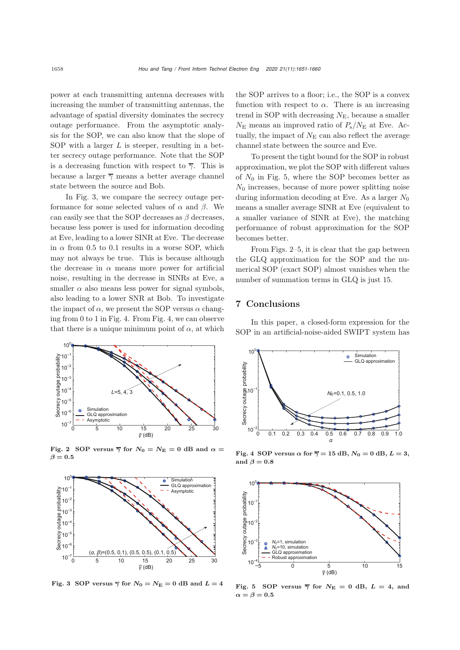power at each transmitting antenna decreases with increasing the number of transmitting antennas, the advantage of spatial diversity dominates the secrecy outage performance. From the asymptotic analysis for the SOP, we can also know that the slope of SOP with a larger  $L$  is steeper, resulting in a better secrecy outage performance. Note that the SOP is a decreasing function with respect to  $\overline{\gamma}$ . This is because a larger  $\overline{\gamma}$  means a better average channel state between the source and Bob.

In Fig. [3,](#page-7-2) we compare the secrecy outage performance for some selected values of  $\alpha$  and  $\beta$ . We can easily see that the SOP decreases as  $\beta$  decreases, because less power is used for information decoding at Eve, leading to a lower SINR at Eve. The decrease in  $\alpha$  from 0.5 to 0.1 results in a worse SOP, which may not always be true. This is because although the decrease in  $\alpha$  means more power for artificial noise, resulting in the decrease in SINRs at Eve, a smaller  $\alpha$  also means less power for signal symbols, also leading to a lower SNR at Bob. To investigate the impact of  $\alpha$ , we present the SOP versus  $\alpha$  changing from 0 to 1 in Fig. [4.](#page-7-3) From Fig. [4,](#page-7-3) we can observe that there is a unique minimum point of  $\alpha$ , at which



<span id="page-7-0"></span>Fig. 2 SOP versus  $\overline{\gamma}$  for  $N_0 = N_E = 0$  dB and  $\alpha =$  $\beta = 0.5$ 



<span id="page-7-2"></span>Fig. 3 SOP versus  $\overline{\gamma}$  for  $N_0 = N_E = 0$  dB and  $L = 4$ 

the SOP arrives to a floor; i.e., the SOP is a convex function with respect to  $\alpha$ . There is an increasing trend in SOP with decreasing  $N_{\rm E}$ , because a smaller  $N_{\rm E}$  means an improved ratio of  $P_{\rm s}/N_{\rm E}$  at Eve. Actually, the impact of  $N<sub>E</sub>$  can also reflect the average channel state between the source and Eve.

To present the tight bound for the SOP in robust approximation, we plot the SOP with different values of  $N_0$  in Fig. [5,](#page-7-1) where the SOP becomes better as  $N_0$  increases, because of more power splitting noise during information decoding at Eve. As a larger  $N_0$ means a smaller average SINR at Eve (equivalent to a smaller variance of SINR at Eve), the matching performance of robust approximation for the SOP becomes better.

From Figs. [2–](#page-7-0)[5,](#page-7-1) it is clear that the gap between the GLQ approximation for the SOP and the numerical SOP (exact SOP) almost vanishes when the number of summation terms in GLQ is just 15.

## 7 Conclusions

In this paper, a closed-form expression for the SOP in an artificial-noise-aided SWIPT system has



<span id="page-7-3"></span>Fig. 4 SOP versus  $\alpha$  for  $\overline{\gamma} = 15$  dB,  $N_0 = 0$  dB,  $L = 3$ , and  $\beta = 0.8$ 



<span id="page-7-1"></span>Fig. 5 SOP versus  $\overline{\gamma}$  for  $N_{\text{E}} = 0$  dB,  $L = 4$ , and  $α = β = 0.5$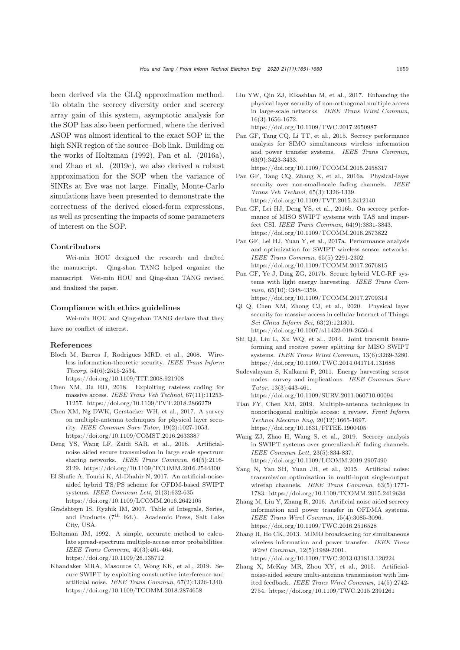been derived via the GLQ approximation method. To obtain the secrecy diversity order and secrecy array gain of this system, asymptotic analysis for the SOP has also been performed, where the derived ASOP was almost identical to the exact SOP in the high SNR region of the source–Bob link. Building on the works of Holtzman (1992), Pan et al. (2016a), and Zhao et al. (2019c), we also derived a robust approximation for the SOP when the variance of SINRs at Eve was not large. Finally, Monte-Carlo simulations have been presented to demonstrate the correctness of the derived closed-form expressions, as well as presenting the impacts of some parameters of interest on the SOP.

#### Contributors

Wei-min HOU designed the research and drafted the manuscript. Qing-shan TANG helped organize the manuscript. Wei-min HOU and Qing-shan TANG revised and finalized the paper.

#### Compliance with ethics guidelines

Wei-min HOU and Qing-shan TANG declare that they have no conflict of interest.

#### References

- Bloch M, Barros J, Rodrigues MRD, et al., 2008. Wireless information-theoretic security. *IEEE Trans Inform Theory*, 54(6):2515-2534.
- https://doi.org/10.1109/TIT.2008.921908 Chen XM, Jia RD, 2018. Exploiting rateless coding for massive access. *IEEE Trans Veh Technol*, 67(11):11253-
- 11257. https://doi.org/10.1109/TVT.2018.2866279 Chen XM, Ng DWK, Gerstacker WH, et al., 2017. A survey on multiple-antenna techniques for physical layer security. *IEEE Commun Surv Tutor*, 19(2):1027-1053.
- https://doi.org/10.1109/COMST.2016.2633387 Deng YS, Wang LF, Zaidi SAR, et al., 2016. Artificialnoise aided secure transmission in large scale spectrum sharing networks. *IEEE Trans Commun*, 64(5):2116- 2129. https://doi.org/10.1109/TCOMM.2016.2544300
- El Shafie A, Tourki K, Al-Dhahir N, 2017. An artificial-noiseaided hybrid TS/PS scheme for OFDM-based SWIPT systems. *IEEE Commun Lett*, 21(3):632-635. https://doi.org/10.1109/LCOMM.2016.2642105
- Gradshteyn IS, Ryzhik IM, 2007. Table of Integrals, Series, and Products  $(7<sup>th</sup> Ed.)$ . Academic Press, Salt Lake City, USA.
- Holtzman JM, 1992. A simple, accurate method to calculate spread-spectrum multiple-access error probabilities. *IEEE Trans Commun*, 40(3):461-464. https://doi.org/10.1109/26.135712
- Khandaker MRA, Masouros C, Wong KK, et al., 2019. Secure SWIPT by exploiting constructive interference and artificial noise. *IEEE Trans Commun*, 67(2):1326-1340. https://doi.org/10.1109/TCOMM.2018.2874658
- Liu YW, Qin ZJ, Elkashlan M, et al., 2017. Enhancing the physical layer security of non-orthogonal multiple access in large-scale networks. *IEEE Trans Wirel Commun*, 16(3):1656-1672. https://doi.org/10.1109/TWC.2017.2650987
- Pan GF, Tang CQ, Li TT, et al., 2015. Secrecy performance analysis for SIMO simultaneous wireless information and power transfer systems. *IEEE Trans Commun*, 63(9):3423-3433.
	- https://doi.org/10.1109/TCOMM.2015.2458317
- Pan GF, Tang CQ, Zhang X, et al., 2016a. Physical-layer security over non-small-scale fading channels. *IEEE Trans Veh Technol*, 65(3):1326-1339. https://doi.org/10.1109/TVT.2015.2412140
- Pan GF, Lei HJ, Deng YS, et al., 2016b. On secrecy performance of MISO SWIPT systems with TAS and imperfect CSI. *IEEE Trans Commun*, 64(9):3831-3843. https://doi.org/10.1109/TCOMM.2016.2573822
- Pan GF, Lei HJ, Yuan Y, et al., 2017a. Performance analysis and optimization for SWIPT wireless sensor networks. *IEEE Trans Commun*, 65(5):2291-2302. https://doi.org/10.1109/TCOMM.2017.2676815
- Pan GF, Ye J, Ding ZG, 2017b. Secure hybrid VLC-RF systems with light energy harvesting. *IEEE Trans Commun*, 65(10):4348-4359. https://doi.org/10.1109/TCOMM.2017.2709314
- Qi Q, Chen XM, Zhong CJ, et al., 2020. Physical layer security for massive access in cellular Internet of Things. *Sci China Inform Sci*, 63(2):121301. https://doi.org/10.1007/s11432-019-2650-4
- Shi QJ, Liu L, Xu WQ, et al., 2014. Joint transmit beamforming and receive power splitting for MISO SWIPT systems. *IEEE Trans Wirel Commun*, 13(6):3269-3280. https://doi.org/10.1109/TWC.2014.041714.131688
- Sudevalayam S, Kulkarni P, 2011. Energy harvesting sensor nodes: survey and implications. *IEEE Commun Surv Tutor*, 13(3):443-461. https://doi.org/10.1109/SURV.2011.060710.00094
- Tian FY, Chen XM, 2019. Multiple-antenna techniques in nonorthogonal multiple access: a review. *Front Inform Technol Electron Eng*, 20(12):1665-1697. https://doi.org/10.1631/FITEE.1900405
- Wang ZJ, Zhao H, Wang S, et al., 2019. Secrecy analysis in SWIPT systems over generalized-*K* fading channels. *IEEE Commun Lett*, 23(5):834-837. https://doi.org/10.1109/LCOMM.2019.2907490
- Yang N, Yan SH, Yuan JH, et al., 2015. Artificial noise: transmission optimization in multi-input single-output wiretap channels. *IEEE Trans Commun*, 63(5):1771- 1783. https://doi.org/10.1109/TCOMM.2015.2419634
- Zhang M, Liu Y, Zhang R, 2016. Artificial noise aided secrecy information and power transfer in OFDMA systems. *IEEE Trans Wirel Commun*, 15(4):3085-3096. https://doi.org/10.1109/TWC.2016.2516528
- Zhang R, Ho CK, 2013. MIMO broadcasting for simultaneous wireless information and power transfer. *IEEE Trans Wirel Commun*, 12(5):1989-2001. https://doi.org/10.1109/TWC.2013.031813.120224
- Zhang X, McKay MR, Zhou XY, et al., 2015. Artificialnoise-aided secure multi-antenna transmission with limited feedback. *IEEE Trans Wirel Commun*, 14(5):2742- 2754. https://doi.org/10.1109/TWC.2015.2391261